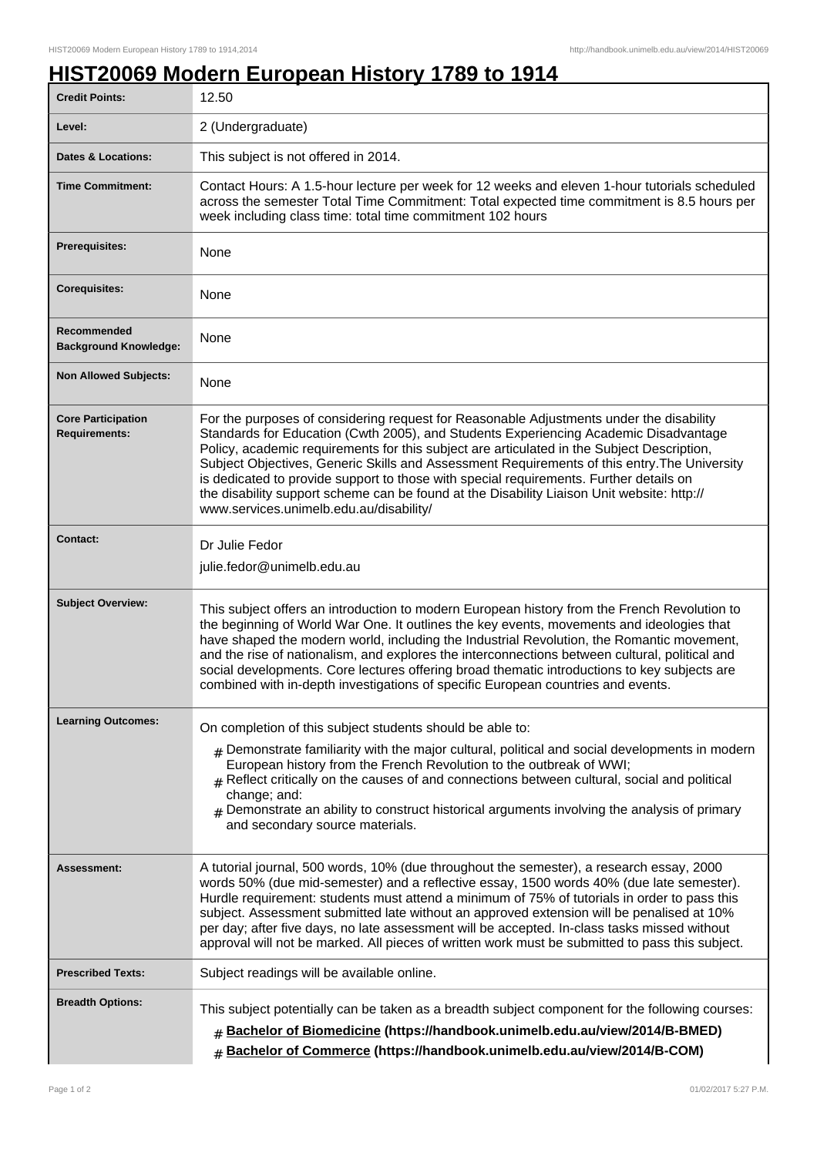## **HIST20069 Modern European History 1789 to 1914**

| <b>Credit Points:</b>                             | 12.50                                                                                                                                                                                                                                                                                                                                                                                                                                                                                                                                                                                                            |
|---------------------------------------------------|------------------------------------------------------------------------------------------------------------------------------------------------------------------------------------------------------------------------------------------------------------------------------------------------------------------------------------------------------------------------------------------------------------------------------------------------------------------------------------------------------------------------------------------------------------------------------------------------------------------|
| Level:                                            | 2 (Undergraduate)                                                                                                                                                                                                                                                                                                                                                                                                                                                                                                                                                                                                |
| <b>Dates &amp; Locations:</b>                     | This subject is not offered in 2014.                                                                                                                                                                                                                                                                                                                                                                                                                                                                                                                                                                             |
| <b>Time Commitment:</b>                           | Contact Hours: A 1.5-hour lecture per week for 12 weeks and eleven 1-hour tutorials scheduled<br>across the semester Total Time Commitment: Total expected time commitment is 8.5 hours per<br>week including class time: total time commitment 102 hours                                                                                                                                                                                                                                                                                                                                                        |
| <b>Prerequisites:</b>                             | None                                                                                                                                                                                                                                                                                                                                                                                                                                                                                                                                                                                                             |
| <b>Corequisites:</b>                              | None                                                                                                                                                                                                                                                                                                                                                                                                                                                                                                                                                                                                             |
| Recommended<br><b>Background Knowledge:</b>       | None                                                                                                                                                                                                                                                                                                                                                                                                                                                                                                                                                                                                             |
| <b>Non Allowed Subjects:</b>                      | <b>None</b>                                                                                                                                                                                                                                                                                                                                                                                                                                                                                                                                                                                                      |
| <b>Core Participation</b><br><b>Requirements:</b> | For the purposes of considering request for Reasonable Adjustments under the disability<br>Standards for Education (Cwth 2005), and Students Experiencing Academic Disadvantage<br>Policy, academic requirements for this subject are articulated in the Subject Description,<br>Subject Objectives, Generic Skills and Assessment Requirements of this entry. The University<br>is dedicated to provide support to those with special requirements. Further details on<br>the disability support scheme can be found at the Disability Liaison Unit website: http://<br>www.services.unimelb.edu.au/disability/ |
| <b>Contact:</b>                                   | Dr Julie Fedor<br>julie.fedor@unimelb.edu.au                                                                                                                                                                                                                                                                                                                                                                                                                                                                                                                                                                     |
| <b>Subject Overview:</b>                          | This subject offers an introduction to modern European history from the French Revolution to<br>the beginning of World War One. It outlines the key events, movements and ideologies that<br>have shaped the modern world, including the Industrial Revolution, the Romantic movement,<br>and the rise of nationalism, and explores the interconnections between cultural, political and<br>social developments. Core lectures offering broad thematic introductions to key subjects are<br>combined with in-depth investigations of specific European countries and events.                                     |
| <b>Learning Outcomes:</b>                         | On completion of this subject students should be able to:<br>$_{\rm #}$ Demonstrate familiarity with the major cultural, political and social developments in modern<br>European history from the French Revolution to the outbreak of WWI;<br>$#$ Reflect critically on the causes of and connections between cultural, social and political<br>change; and:<br>$#$ Demonstrate an ability to construct historical arguments involving the analysis of primary<br>and secondary source materials.                                                                                                               |
| Assessment:                                       | A tutorial journal, 500 words, 10% (due throughout the semester), a research essay, 2000<br>words 50% (due mid-semester) and a reflective essay, 1500 words 40% (due late semester).<br>Hurdle requirement: students must attend a minimum of 75% of tutorials in order to pass this<br>subject. Assessment submitted late without an approved extension will be penalised at 10%<br>per day; after five days, no late assessment will be accepted. In-class tasks missed without<br>approval will not be marked. All pieces of written work must be submitted to pass this subject.                             |
| <b>Prescribed Texts:</b>                          | Subject readings will be available online.                                                                                                                                                                                                                                                                                                                                                                                                                                                                                                                                                                       |
| <b>Breadth Options:</b>                           | This subject potentially can be taken as a breadth subject component for the following courses:<br>Bachelor of Biomedicine (https://handbook.unimelb.edu.au/view/2014/B-BMED)<br>$\#$<br>Bachelor of Commerce (https://handbook.unimelb.edu.au/view/2014/B-COM)<br>$\pm$                                                                                                                                                                                                                                                                                                                                         |